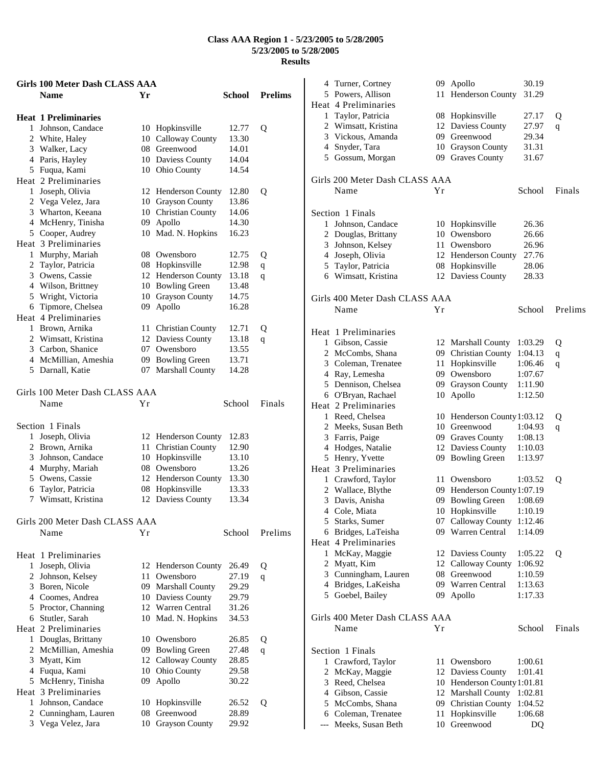|   | Girls 100 Meter Dash CLASS AAA |    |                                          |        |                |
|---|--------------------------------|----|------------------------------------------|--------|----------------|
|   | <b>Name</b>                    | Yr |                                          | School | <b>Prelims</b> |
|   | <b>Heat 1 Preliminaries</b>    |    |                                          |        |                |
| 1 | Johnson, Candace               |    | 10 Hopkinsville                          | 12.77  | Q              |
|   | 2 White, Haley                 |    | 10 Calloway County                       | 13.30  |                |
|   | 3 Walker, Lacy                 |    | 08 Greenwood                             | 14.01  |                |
|   | 4 Paris, Hayley                |    | 10 Daviess County                        | 14.04  |                |
|   | 5 Fuqua, Kami                  |    | 10 Ohio County                           | 14.54  |                |
|   | Heat 2 Preliminaries           |    |                                          |        |                |
|   | 1 Joseph, Olivia               |    | 12 Henderson County                      | 12.80  | Q              |
|   | 2 Vega Velez, Jara             |    |                                          | 13.86  |                |
|   | 3 Wharton, Keeana              |    | 10 Grayson County<br>10 Christian County | 14.06  |                |
|   |                                |    |                                          | 14.30  |                |
|   | 4 McHenry, Tinisha             | 09 | Apollo                                   | 16.23  |                |
|   | 5 Cooper, Audrey               |    | 10 Mad. N. Hopkins                       |        |                |
|   | Heat 3 Preliminaries           |    |                                          |        |                |
|   | 1 Murphy, Mariah               |    | 08 Owensboro                             | 12.75  | Q              |
|   | 2 Taylor, Patricia             |    | 08 Hopkinsville                          | 12.98  | $\mathbf q$    |
|   | 3 Owens, Cassie                |    | 12 Henderson County                      | 13.18  | q              |
|   | 4 Wilson, Brittney             |    | 10 Bowling Green                         | 13.48  |                |
|   | 5 Wright, Victoria             |    | 10 Grayson County                        | 14.75  |                |
|   | 6 Tipmore, Chelsea             | 09 | Apollo                                   | 16.28  |                |
|   | Heat 4 Preliminaries           |    |                                          |        |                |
|   | 1 Brown, Arnika                |    | 11 Christian County                      | 12.71  | Q              |
|   | 2 Wimsatt, Kristina            |    | 12 Daviess County                        | 13.18  | q              |
|   | 3 Carbon, Shanice              |    | 07 Owensboro                             | 13.55  |                |
|   | 4 McMillian, Ameshia           |    | 09 Bowling Green                         | 13.71  |                |
|   | 5 Darnall, Katie               |    | 07 Marshall County                       | 14.28  |                |
|   |                                |    |                                          |        |                |
|   | Girls 100 Meter Dash CLASS AAA |    |                                          |        |                |
|   | Name                           | Υr |                                          | School | Finals         |
|   | Section 1 Finals               |    |                                          |        |                |
| 1 | Joseph, Olivia                 |    | 12 Henderson County                      | 12.83  |                |
|   | 2 Brown, Arnika                |    | 11 Christian County                      | 12.90  |                |
|   | 3 Johnson, Candace             |    | 10 Hopkinsville                          | 13.10  |                |
|   | 4 Murphy, Mariah               |    | 08 Owensboro                             | 13.26  |                |
|   | 5 Owens, Cassie                |    | 12 Henderson County                      | 13.30  |                |
|   | 6 Taylor, Patricia             |    | 08 Hopkinsville                          | 13.33  |                |
| 7 | Wimsatt, Kristina              |    | 12 Daviess County                        | 13.34  |                |
|   |                                |    |                                          |        |                |
|   | Girls 200 Meter Dash CLASS AAA |    |                                          |        |                |
|   | Name                           | Υr |                                          | School | Prelims        |
|   | Heat 1 Preliminaries           |    |                                          |        |                |
| 1 | Joseph, Olivia                 |    | 12 Henderson County                      | 26.49  | Q              |
|   | 2 Johnson, Kelsey              | 11 | Owensboro                                | 27.19  | q              |
|   | 3 Boren, Nicole                |    | 09 Marshall County                       | 29.29  |                |
|   | 4 Coomes, Andrea               |    |                                          | 29.79  |                |
|   |                                |    | 10 Daviess County<br>12 Warren Central   |        |                |
|   | 5 Proctor, Channing            |    |                                          | 31.26  |                |
|   | 6 Stutler, Sarah               | 10 | Mad. N. Hopkins                          | 34.53  |                |
|   | Heat 2 Preliminaries           |    |                                          |        |                |
|   | 1 Douglas, Brittany            |    | 10 Owensboro                             | 26.85  | Q              |
|   | 2 McMillian, Ameshia           |    | 09 Bowling Green                         | 27.48  | q              |
|   | 3 Myatt, Kim                   |    | 12 Calloway County                       | 28.85  |                |
|   | 4 Fuqua, Kami                  |    | 10 Ohio County                           | 29.58  |                |
| 5 | McHenry, Tinisha               | 09 | Apollo                                   | 30.22  |                |
|   | Heat 3 Preliminaries           |    |                                          |        |                |
| 1 | Johnson, Candace               | 10 | Hopkinsville                             | 26.52  | Q              |
|   | 2 Cunningham, Lauren           |    | 08 Greenwood                             | 28.89  |                |
|   | 3 Vega Velez, Jara             |    | 10 Grayson County                        | 29.92  |                |

|       | 4 Turner, Cortney                      | 09 | Apollo                      | 30.19   |         |
|-------|----------------------------------------|----|-----------------------------|---------|---------|
|       | 5 Powers, Allison                      | 11 | Henderson County            | 31.29   |         |
|       | Heat 4 Preliminaries                   |    |                             |         |         |
|       | 1 Taylor, Patricia                     |    | 08 Hopkinsville             | 27.17   | Q       |
|       | 2 Wimsatt, Kristina                    | 12 | Daviess County              | 27.97   | q       |
|       | 3 Vickous, Amanda                      | 09 | Greenwood                   | 29.34   |         |
|       | 4 Snyder, Tara                         | 10 | <b>Grayson County</b>       | 31.31   |         |
|       | 5 Gossum, Morgan                       |    | 09 Graves County            | 31.67   |         |
|       | Girls 200 Meter Dash CLASS AAA         |    |                             |         |         |
|       | Name                                   | Υr |                             | School  | Finals  |
|       |                                        |    |                             |         |         |
|       | Section 1 Finals                       |    |                             |         |         |
| 1     | Johnson, Candace                       |    | 10 Hopkinsville             | 26.36   |         |
|       | 2 Douglas, Brittany                    |    | 10 Owensboro                | 26.66   |         |
|       | 3 Johnson, Kelsey                      |    | 11 Owensboro                | 26.96   |         |
|       | 4 Joseph, Olivia                       |    | 12 Henderson County         | 27.76   |         |
|       | 5 Taylor, Patricia                     |    | 08 Hopkinsville             | 28.06   |         |
|       | 6 Wimsatt, Kristina                    |    | 12 Daviess County           | 28.33   |         |
|       |                                        |    |                             |         |         |
|       | Girls 400 Meter Dash CLASS AAA<br>Name | Υr |                             | School  | Prelims |
|       |                                        |    |                             |         |         |
|       | Heat 1 Preliminaries                   |    |                             |         |         |
|       | 1 Gibson, Cassie                       |    | 12 Marshall County          | 1:03.29 | Q       |
|       | 2 McCombs, Shana                       | 09 | <b>Christian County</b>     | 1:04.13 | q       |
|       | 3 Coleman, Trenatee                    | 11 | Hopkinsville                | 1:06.46 | q       |
|       | 4 Ray, Lemesha                         | 09 | Owensboro                   | 1:07.67 |         |
|       | 5 Dennison, Chelsea                    | 09 | <b>Grayson County</b>       | 1:11.90 |         |
|       | 6 O'Bryan, Rachael                     | 10 | Apollo                      | 1:12.50 |         |
|       | Heat 2 Preliminaries                   |    |                             |         |         |
|       | 1 Reed, Chelsea                        |    | 10 Henderson County 1:03.12 |         | Q       |
|       | 2 Meeks, Susan Beth                    |    | 10 Greenwood                | 1:04.93 | q       |
|       | 3 Farris, Paige                        |    | 09 Graves County            | 1:08.13 |         |
|       | 4 Hodges, Natalie                      |    | 12 Daviess County           | 1:10.03 |         |
|       | 5 Henry, Yvette                        |    | 09 Bowling Green            | 1:13.97 |         |
|       | Heat 3 Preliminaries                   |    |                             |         |         |
|       | 1 Crawford, Taylor                     | 11 | Owensboro                   | 1:03.52 | Q       |
|       | 2 Wallace, Blythe                      |    | 09 Henderson County 1:07.19 |         |         |
|       | 3 Davis, Anisha                        |    | 09 Bowling Green            | 1:08.69 |         |
|       | 4 Cole, Miata                          |    | 10 Hopkinsville             | 1:10.19 |         |
|       | 5 Starks, Sumer                        |    | 07 Calloway County          | 1:12.46 |         |
|       | 6 Bridges, LaTeisha                    |    | 09 Warren Central           | 1:14.09 |         |
|       | Heat 4 Preliminaries                   |    |                             |         |         |
|       | 1 McKay, Maggie                        |    | 12 Daviess County           | 1:05.22 | Q       |
|       | 2 Myatt, Kim                           |    | 12 Calloway County          | 1:06.92 |         |
|       | 3 Cunningham, Lauren                   |    | 08 Greenwood                | 1:10.59 |         |
|       | 4 Bridges, LaKeisha                    |    | 09 Warren Central           | 1:13.63 |         |
|       | 5 Goebel, Bailey                       |    | 09 Apollo                   | 1:17.33 |         |
|       |                                        |    |                             |         |         |
|       | Girls 400 Meter Dash CLASS AAA         |    |                             |         |         |
|       | Name                                   | Υr |                             | School  | Finals  |
|       | Section 1 Finals                       |    |                             |         |         |
|       | 1 Crawford, Taylor                     | 11 | Owensboro                   | 1:00.61 |         |
|       | 2 McKay, Maggie                        | 12 | Daviess County              | 1:01.41 |         |
|       | 3 Reed, Chelsea                        |    | 10 Henderson County 1:01.81 |         |         |
|       | 4 Gibson, Cassie                       |    | 12 Marshall County          | 1:02.81 |         |
|       | 5 McCombs, Shana                       |    | 09 Christian County         | 1:04.52 |         |
|       | 6 Coleman, Trenatee                    | 11 | Hopkinsville                | 1:06.68 |         |
| $---$ | Meeks, Susan Beth                      | 10 | Greenwood                   | DQ      |         |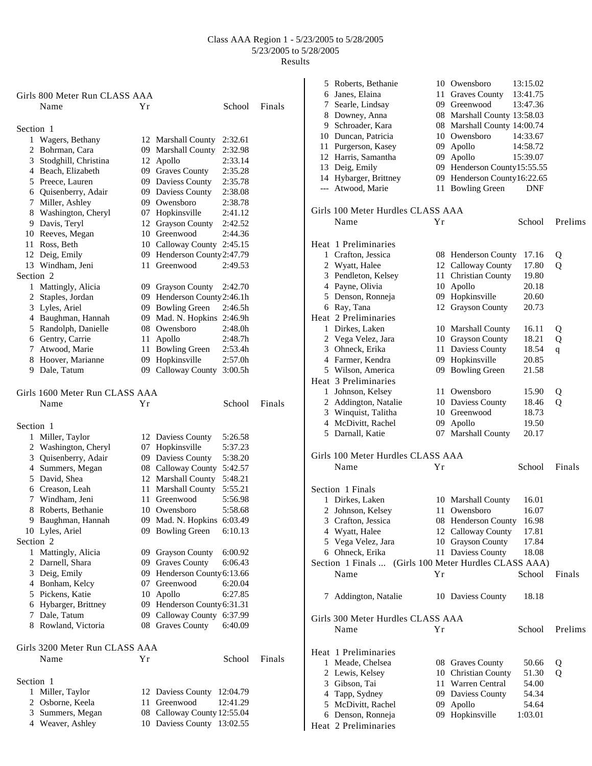|                | Girls 800 Meter Run CLASS AAA  |    |                             |                     |        |
|----------------|--------------------------------|----|-----------------------------|---------------------|--------|
|                | Name                           | Υr |                             | School              | Finals |
|                |                                |    |                             |                     |        |
| Section 1<br>1 | Wagers, Bethany                |    | 12 Marshall County          | 2:32.61             |        |
|                | 2 Bohrman, Cara                |    | 09 Marshall County          | 2:32.98             |        |
|                |                                |    |                             | 2:33.14             |        |
|                | 3 Stodghill, Christina         |    | 12 Apollo                   |                     |        |
|                | 4 Beach, Elizabeth             |    | 09 Graves County            | 2:35.28             |        |
|                | 5 Preece, Lauren               |    | 09 Daviess County           | 2:35.78             |        |
|                | 6 Quisenberry, Adair           |    | 09 Daviess County           | 2:38.08             |        |
|                | 7 Miller, Ashley               |    | 09 Owensboro                | 2:38.78             |        |
|                | 8 Washington, Cheryl           |    | 07 Hopkinsville             | 2:41.12             |        |
|                | 9 Davis, Teryl                 |    | 12 Grayson County           | 2:42.52             |        |
|                | 10 Reeves, Megan               |    | 10 Greenwood                | 2:44.36             |        |
|                | 11 Ross, Beth                  |    | 10 Calloway County 2:45.15  |                     |        |
|                | 12 Deig, Emily                 |    | 09 Henderson County 2:47.79 |                     |        |
|                | 13 Windham, Jeni               |    | 11 Greenwood                | 2:49.53             |        |
| Section 2      |                                |    |                             |                     |        |
|                | 1 Mattingly, Alicia            |    | 09 Grayson County           | 2:42.70             |        |
|                | 2 Staples, Jordan              |    | 09 Henderson County 2:46.1h |                     |        |
|                | 3 Lyles, Ariel                 |    | 09 Bowling Green            | 2:46.5h             |        |
|                | 4 Baughman, Hannah             |    | 09 Mad. N. Hopkins 2:46.9h  |                     |        |
|                | 5 Randolph, Danielle           |    | 08 Owensboro                | 2:48.0 <sub>h</sub> |        |
|                | 6 Gentry, Carrie               |    | 11 Apollo                   | 2:48.7h             |        |
|                | 7 Atwood, Marie                |    | 11 Bowling Green            | 2:53.4h             |        |
|                | 8 Hoover, Marianne             |    | 09 Hopkinsville             | 2:57.0h             |        |
|                | 9 Dale, Tatum                  |    | 09 Calloway County 3:00.5h  |                     |        |
|                | Girls 1600 Meter Run CLASS AAA |    |                             |                     |        |
|                | Name                           | Υr |                             | School              | Finals |
|                |                                |    |                             |                     |        |
| Section 1      |                                |    |                             |                     |        |
|                | 1 Miller, Taylor               |    | 12 Daviess County           | 5:26.58             |        |
|                | 2 Washington, Cheryl           |    | 07 Hopkinsville             | 5:37.23             |        |
|                | 3 Quisenberry, Adair           |    | 09 Daviess County           | 5:38.20             |        |
|                | 4 Summers, Megan               |    | 08 Calloway County 5:42.57  |                     |        |
|                | 5 David, Shea                  |    | 12 Marshall County          | 5:48.21             |        |
|                | 6 Creason, Leah                |    | 11 Marshall County          | 5:55.21             |        |
|                | 7 Windham, Jeni                |    | 11 Greenwood                | 5:56.98             |        |
|                | 8 Roberts, Bethanie            |    | 10 Owensboro                | 5:58.68             |        |
| 9              | Baughman, Hannah               |    | 09 Mad. N. Hopkins 6:03.49  |                     |        |
|                |                                |    | 09 Bowling Green            | 6:10.13             |        |
| Section 2      | 10 Lyles, Ariel                |    |                             |                     |        |
|                | Mattingly, Alicia              |    |                             | 6:00.92             |        |
| $\mathbf{1}$   |                                |    | 09 Grayson County           |                     |        |
|                | 2 Darnell, Shara               |    | 09 Graves County            | 6:06.43             |        |
|                | 3 Deig, Emily                  |    | 09 Henderson County 6:13.66 |                     |        |
|                | 4 Bonham, Kelcy                |    | 07 Greenwood                | 6:20.04             |        |
|                | 5 Pickens, Katie               |    | 10 Apollo                   | 6:27.85             |        |
|                | 6 Hybarger, Brittney           |    | 09 Henderson County 6:31.31 |                     |        |
|                | 7 Dale, Tatum                  |    | 09 Calloway County          | 6:37.99             |        |
|                | 8 Rowland, Victoria            |    | 08 Graves County            | 6:40.09             |        |
|                | Girls 3200 Meter Run CLASS AAA |    |                             |                     |        |
|                | Name                           | Υr |                             | School              | Finals |
| Section 1      |                                |    |                             |                     |        |
| 1              | Miller, Taylor                 |    | 12 Daviess County           | 12:04.79            |        |
|                | 2 Osborne, Keela               |    | 11 Greenwood                | 12:41.29            |        |
|                | 3 Summers, Megan               |    | 08 Calloway County 12:55.04 |                     |        |
|                | 4 Weaver, Ashley               |    | 10 Daviess County 13:02.55  |                     |        |
|                |                                |    |                             |                     |        |

|    | 5 Roberts, Bethanie                |    | 10 Owensboro                        | 13:15.02       |              |
|----|------------------------------------|----|-------------------------------------|----------------|--------------|
|    | 6 Janes, Elaina                    |    | 11 Graves County                    | 13:41.75       |              |
|    | 7 Searle, Lindsay                  |    | 09 Greenwood                        | 13:47.36       |              |
|    | 8 Downey, Anna                     |    | 08 Marshall County 13:58.03         |                |              |
|    | 9 Schroader, Kara                  |    | 08 Marshall County 14:00.74         |                |              |
|    | 10 Duncan, Patricia                |    | 10 Owensboro                        | 14:33.67       |              |
| 11 | Purgerson, Kasey                   |    | 09 Apollo                           | 14:58.72       |              |
|    | 12 Harris, Samantha                |    | 09 Apollo                           | 15:39.07       |              |
|    | 13 Deig, Emily                     |    | 09 Henderson County15:55.55         |                |              |
|    | 14 Hybarger, Brittney              |    | 09 Henderson County16:22.65         |                |              |
|    | --- Atwood, Marie                  |    | 11 Bowling Green                    | DNF            |              |
|    | Girls 100 Meter Hurdles CLASS AAA  |    |                                     |                |              |
|    | Name                               | Yr |                                     | School         | Prelims      |
|    | Heat 1 Preliminaries               |    |                                     |                |              |
|    | 1 Crafton, Jessica                 |    | 08 Henderson County                 | 17.16          | Q            |
|    | 2 Wyatt, Halee                     |    | 12 Calloway County                  | 17.80          | Q            |
|    | 3 Pendleton, Kelsey                |    | 11 Christian County                 | 19.80          |              |
|    | 4 Payne, Olivia                    |    | 10 Apollo                           | 20.18          |              |
| 5  | Denson, Ronneja                    |    | 09 Hopkinsville                     | 20.60          |              |
|    | 6 Ray, Tana                        |    | 12 Grayson County                   | 20.73          |              |
|    | Heat 2 Preliminaries               |    |                                     |                |              |
|    | 1 Dirkes, Laken                    |    | 10 Marshall County                  | 16.11          | Q            |
|    | 2 Vega Velez, Jara                 |    | 10 Grayson County                   | 18.21          | Q            |
|    | 3 Ohneck, Erika                    |    | 11 Daviess County                   | 18.54          | $\mathbf{q}$ |
|    | 4 Farmer, Kendra                   |    | 09 Hopkinsville                     | 20.85          |              |
|    | 5 Wilson, America                  |    | 09 Bowling Green                    | 21.58          |              |
|    | Heat 3 Preliminaries               |    |                                     |                |              |
|    | 1 Johnson, Kelsey                  |    | 11 Owensboro                        | 15.90          | Q            |
|    | 2 Addington, Natalie               |    | 10 Daviess County                   | 18.46          | Q            |
|    | 3 Winquist, Talitha                |    | 10 Greenwood                        | 18.73          |              |
|    | 4 McDivitt, Rachel                 | 09 | Apollo                              | 19.50          |              |
|    | 5 Darnall, Katie                   |    | 07 Marshall County                  | 20.17          |              |
|    | Girls 100 Meter Hurdles CLASS AAA  |    |                                     |                |              |
|    | Name                               | Υr |                                     | School         | Finals       |
|    |                                    |    |                                     |                |              |
|    | Section 1 Finals                   |    |                                     |                |              |
|    | 1 Dirkes, Laken                    |    | 10 Marshall County                  | 16.01          |              |
|    | 2 Johnson, Kelsey                  | 11 | Owensboro                           | 16.07          |              |
|    | 3 Crafton, Jessica                 |    | 08 Henderson County                 | 16.98          |              |
|    | 4 Wyatt, Halee                     |    | 12 Calloway County                  | 17.81          |              |
|    | 5 Vega Velez, Jara                 |    | 10 Grayson County                   | 17.84          |              |
|    | 6 Ohneck, Erika                    |    | 11 Daviess County                   | 18.08          |              |
|    | Section 1 Finals                   |    | (Girls 100 Meter Hurdles CLASS AAA) |                |              |
|    | Name                               | Υr |                                     | School         | Finals       |
| 7  | Addington, Natalie                 |    | 10 Daviess County                   | 18.18          |              |
|    | Girls 300 Meter Hurdles CLASS AAA  |    |                                     |                |              |
|    | Name                               | Yr |                                     | School         | Prelims      |
|    |                                    |    |                                     |                |              |
|    | Heat 1 Preliminaries               |    |                                     |                |              |
| 1  | Meade, Chelsea                     |    | 08 Graves County                    | 50.66          | Q            |
|    | 2 Lewis, Kelsey                    |    | 10 Christian County                 | 51.30          | Q            |
|    | 3 Gibson, Tai                      |    | 11 Warren Central                   | 54.00<br>54.34 |              |
| 5  | 4 Tapp, Sydney<br>McDivitt, Rachel |    | 09 Daviess County                   | 54.64          |              |
| 6  | Denson, Ronneja                    |    | 09 Apollo<br>09 Hopkinsville        | 1:03.01        |              |
|    | Heat 2 Preliminaries               |    |                                     |                |              |
|    |                                    |    |                                     |                |              |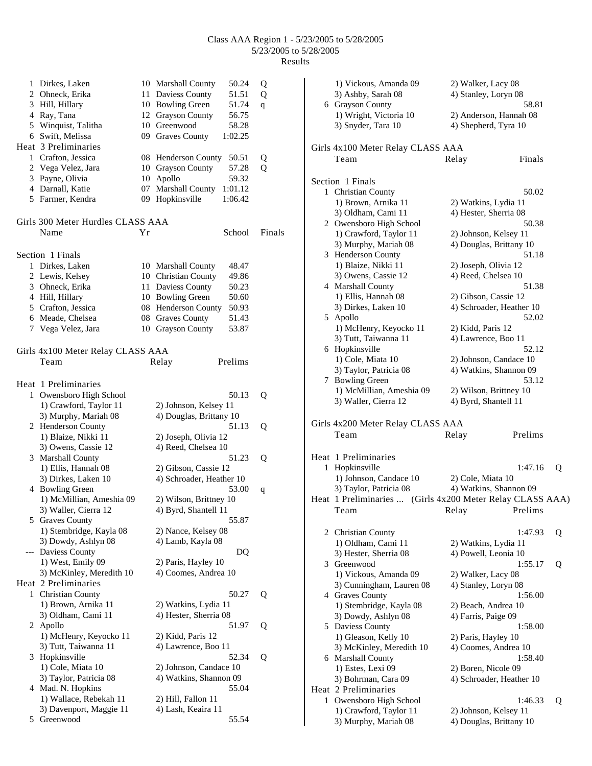| 1              | Dirkes, Laken<br>2 Ohneck, Erika      |    | 50.24<br>10 Marshall County<br>11 Daviess County<br>51.51 | Q<br>Q |
|----------------|---------------------------------------|----|-----------------------------------------------------------|--------|
| 3              | Hill, Hillary                         |    | 10 Bowling Green<br>51.74                                 | q      |
|                | 4 Ray, Tana                           |    | 12 Grayson County<br>56.75                                |        |
|                | 5 Winquist, Talitha                   |    | 10 Greenwood<br>58.28                                     |        |
|                | 6 Swift, Melissa                      |    | 09 Graves County<br>1:02.25                               |        |
|                | Heat 3 Preliminaries                  |    |                                                           |        |
|                | 1 Crafton, Jessica                    |    | 08 Henderson County                                       |        |
|                |                                       |    | 50.51<br>57.28                                            | Q      |
|                | 2 Vega Velez, Jara<br>3 Payne, Olivia |    | 10 Grayson County                                         | Q      |
|                |                                       | 10 | Apollo<br>59.32                                           |        |
|                | 4 Darnall, Katie                      | 07 | Marshall County<br>1:01.12                                |        |
|                | 5 Farmer, Kendra                      | 09 | Hopkinsville<br>1:06.42                                   |        |
|                | Girls 300 Meter Hurdles CLASS AAA     |    |                                                           |        |
|                | Name                                  | Υr | School                                                    | Finals |
|                | Section 1 Finals                      |    |                                                           |        |
|                | 1 Dirkes, Laken                       |    | 10 Marshall County<br>48.47                               |        |
|                | 2 Lewis, Kelsey                       |    | 10 Christian County<br>49.86                              |        |
|                | 3 Ohneck, Erika                       |    | 11 Daviess County<br>50.23                                |        |
|                | 4 Hill, Hillary                       |    | 10 Bowling Green<br>50.60                                 |        |
|                | 5 Crafton, Jessica                    |    | 08 Henderson County<br>50.93                              |        |
|                | 6 Meade, Chelsea                      |    | 08 Graves County<br>51.43                                 |        |
|                | 7 Vega Velez, Jara                    |    | 10 Grayson County<br>53.87                                |        |
|                | Girls 4x100 Meter Relay CLASS AAA     |    |                                                           |        |
|                | Team                                  |    | Prelims<br>Relay                                          |        |
|                |                                       |    |                                                           |        |
|                | Heat 1 Preliminaries                  |    |                                                           |        |
| $\mathbf{1}$   | Owensboro High School                 |    | 50.13                                                     | Q      |
|                | 1) Crawford, Taylor 11                |    | 2) Johnson, Kelsey 11                                     |        |
|                | 3) Murphy, Mariah 08                  |    | 4) Douglas, Brittany 10                                   |        |
|                | 2 Henderson County                    |    | 51.13                                                     | Q      |
|                | 1) Blaize, Nikki 11                   |    | 2) Joseph, Olivia 12                                      |        |
|                | 3) Owens, Cassie 12                   |    | 4) Reed, Chelsea 10                                       |        |
|                | 3 Marshall County                     |    | 51.23                                                     | Q      |
|                | 1) Ellis, Hannah 08                   |    | 2) Gibson, Cassie 12                                      |        |
|                | 3) Dirkes, Laken 10                   |    | 4) Schroader, Heather 10                                  |        |
| 4              | <b>Bowling Green</b>                  |    | 53.00                                                     | q      |
|                | 1) McMillian, Ameshia 09              |    | 2) Wilson, Brittney 10                                    |        |
|                | 3) Waller, Cierra 12                  |    | 4) Byrd, Shantell 11                                      |        |
|                | 5 Graves County                       |    | 55.87                                                     |        |
|                | 1) Stembridge, Kayla 08               |    | 2) Nance, Kelsey 08                                       |        |
|                | 3) Dowdy, Ashlyn 08                   |    | 4) Lamb, Kayla 08                                         |        |
| ---            | Daviess County                        |    | DQ                                                        |        |
|                | 1) West, Emily 09                     |    | 2) Paris, Hayley 10                                       |        |
|                | 3) McKinley, Meredith 10              |    | 4) Coomes, Andrea 10                                      |        |
|                | Heat 2 Preliminaries                  |    |                                                           |        |
| 1              | <b>Christian County</b>               |    | 50.27                                                     | Q      |
|                | 1) Brown, Arnika 11                   |    | 2) Watkins, Lydia 11                                      |        |
|                | 3) Oldham, Cami 11                    |    | 4) Hester, Sherria 08                                     |        |
| $\mathbf{2}^-$ | Apollo                                |    | 51.97                                                     | Q      |
|                | 1) McHenry, Keyocko 11                |    | 2) Kidd, Paris 12                                         |        |
|                | 3) Tutt, Taiwanna 11                  |    | 4) Lawrence, Boo 11                                       |        |
| 3              | Hopkinsville                          |    | 52.34                                                     | Q      |
|                | 1) Cole, Miata 10                     |    | 2) Johnson, Candace 10                                    |        |
|                | 3) Taylor, Patricia 08                |    | 4) Watkins, Shannon 09                                    |        |
|                | 4 Mad. N. Hopkins                     |    | 55.04                                                     |        |
|                | 1) Wallace, Rebekah 11                |    | 2) Hill, Fallon 11                                        |        |
|                | 3) Davenport, Maggie 11               |    | 4) Lash, Keaira 11                                        |        |
| 5              | Greenwood                             |    | 55.54                                                     |        |

|   | 1) Vickous, Amanda 09<br>3) Ashby, Sarah 08                      | 2) Walker, Lacy 08<br>4) Stanley, Loryn 08              |   |
|---|------------------------------------------------------------------|---------------------------------------------------------|---|
|   | 6 Grayson County<br>1) Wright, Victoria 10<br>3) Snyder, Tara 10 | 58.81<br>2) Anderson, Hannah 08<br>4) Shepherd, Tyra 10 |   |
|   | Girls 4x100 Meter Relay CLASS AAA                                |                                                         |   |
|   | Team                                                             | Finals<br>Relay                                         |   |
|   | Section 1 Finals                                                 |                                                         |   |
|   | 1 Christian County                                               | 50.02                                                   |   |
|   | 1) Brown, Arnika 11                                              | 2) Watkins, Lydia 11                                    |   |
|   | 3) Oldham, Cami 11                                               | 4) Hester, Sherria 08                                   |   |
|   | 2 Owensboro High School                                          | 50.38                                                   |   |
|   | 1) Crawford, Taylor 11                                           | 2) Johnson, Kelsey 11                                   |   |
|   | 3) Murphy, Mariah 08                                             | 4) Douglas, Brittany 10                                 |   |
|   | 3 Henderson County                                               | 51.18                                                   |   |
|   | 1) Blaize, Nikki 11                                              | 2) Joseph, Olivia 12                                    |   |
|   | 3) Owens, Cassie 12                                              | 4) Reed, Chelsea 10                                     |   |
|   | 4 Marshall County                                                | 51.38                                                   |   |
|   | 1) Ellis, Hannah 08                                              | 2) Gibson, Cassie 12                                    |   |
|   | 3) Dirkes, Laken 10                                              | 4) Schroader, Heather 10                                |   |
|   | 5 Apollo                                                         | 52.02                                                   |   |
|   | 1) McHenry, Keyocko 11                                           | 2) Kidd, Paris 12                                       |   |
|   | 3) Tutt, Taiwanna 11                                             | 4) Lawrence, Boo 11                                     |   |
|   | 6 Hopkinsville                                                   | 52.12                                                   |   |
|   | 1) Cole, Miata 10                                                | 2) Johnson, Candace 10                                  |   |
|   | 3) Taylor, Patricia 08                                           | 4) Watkins, Shannon 09                                  |   |
|   | 7 Bowling Green                                                  | 53.12                                                   |   |
|   | 1) McMillian, Ameshia 09                                         | 2) Wilson, Brittney 10                                  |   |
|   | 3) Waller, Cierra 12                                             | 4) Byrd, Shantell 11                                    |   |
|   |                                                                  |                                                         |   |
|   | Girls 4x200 Meter Relay CLASS AAA                                |                                                         |   |
|   | Team                                                             | Prelims<br>Relay                                        |   |
|   | Heat 1 Preliminaries                                             |                                                         |   |
|   | 1 Hopkinsville                                                   | 1:47.16                                                 | Q |
|   | 1) Johnson, Candace 10                                           | 2) Cole, Miata 10                                       |   |
|   | 3) Taylor, Patricia 08                                           | 4) Watkins, Shannon 09                                  |   |
|   | Heat 1 Preliminaries  (Girls 4x200 Meter Relay CLASS AAA)        |                                                         |   |
|   | Team                                                             | Relay<br>Prelims                                        |   |
|   |                                                                  |                                                         |   |
|   | 2 Christian County                                               | 1:47.93                                                 | Q |
|   | 1) Oldham, Cami 11                                               | 2) Watkins, Lydia 11                                    |   |
|   | 3) Hester, Sherria 08                                            | 4) Powell, Leonia 10                                    |   |
|   | 3 Greenwood                                                      | 1:55.17                                                 | Q |
|   | 1) Vickous, Amanda 09                                            | 2) Walker, Lacy 08<br>4) Stanley, Loryn 08              |   |
|   | 3) Cunningham, Lauren 08<br>4 Graves County                      | 1:56.00                                                 |   |
|   | 1) Stembridge, Kayla 08                                          | 2) Beach, Andrea 10                                     |   |
|   | 3) Dowdy, Ashlyn 08                                              | 4) Farris, Paige 09                                     |   |
|   | 5 Daviess County                                                 | 1:58.00                                                 |   |
|   | 1) Gleason, Kelly 10                                             | 2) Paris, Hayley 10                                     |   |
|   | 3) McKinley, Meredith 10                                         | 4) Coomes, Andrea 10                                    |   |
|   | 6 Marshall County                                                | 1:58.40                                                 |   |
|   | 1) Estes, Lexi 09                                                | 2) Boren, Nicole 09                                     |   |
|   | 3) Bohrman, Cara 09                                              | 4) Schroader, Heather 10                                |   |
|   | Heat 2 Preliminaries                                             |                                                         |   |
| 1 | Owensboro High School                                            | 1:46.33                                                 | Q |
|   | 1) Crawford, Taylor 11                                           | 2) Johnson, Kelsey 11                                   |   |
|   | 3) Murphy, Mariah 08                                             | 4) Douglas, Brittany 10                                 |   |
|   |                                                                  |                                                         |   |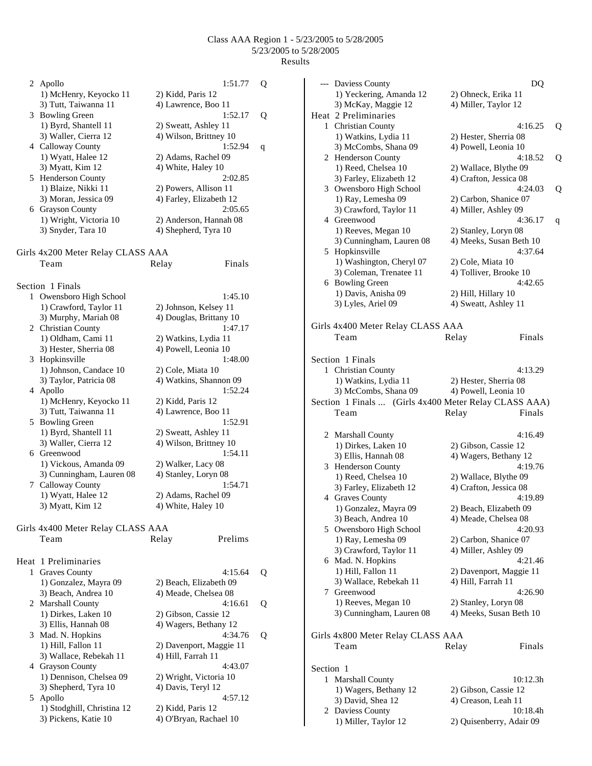|   | 2 Apollo                                       | 1:51.77                                        | Q |
|---|------------------------------------------------|------------------------------------------------|---|
|   | 1) McHenry, Keyocko 11<br>3) Tutt, Taiwanna 11 | 2) Kidd, Paris 12<br>4) Lawrence, Boo 11       |   |
|   | 3 Bowling Green                                | 1:52.17                                        | Q |
|   | 1) Byrd, Shantell 11                           | 2) Sweatt, Ashley 11                           |   |
|   | 3) Waller, Cierra 12                           | 4) Wilson, Brittney 10                         |   |
|   | 4 Calloway County                              | 1:52.94                                        | q |
|   | 1) Wyatt, Halee 12                             | 2) Adams, Rachel 09                            |   |
|   | 3) Myatt, Kim 12                               | 4) White, Haley 10                             |   |
|   | 5 Henderson County                             | 2:02.85                                        |   |
|   | 1) Blaize, Nikki 11                            | 2) Powers, Allison 11                          |   |
|   | 3) Moran, Jessica 09                           | 4) Farley, Elizabeth 12                        |   |
|   | 6 Grayson County                               | 2:05.65                                        |   |
|   | 1) Wright, Victoria 10<br>3) Snyder, Tara 10   | 2) Anderson, Hannah 08<br>4) Shepherd, Tyra 10 |   |
|   |                                                |                                                |   |
|   | Girls 4x200 Meter Relay CLASS AAA              |                                                |   |
|   | Team                                           | Finals<br>Relay                                |   |
|   |                                                |                                                |   |
|   | Section 1 Finals                               |                                                |   |
| 1 | Owensboro High School                          | 1:45.10                                        |   |
|   | 1) Crawford, Taylor 11                         | 2) Johnson, Kelsey 11                          |   |
|   | 3) Murphy, Mariah 08                           | 4) Douglas, Brittany 10                        |   |
|   | 2 Christian County                             | 1:47.17                                        |   |
|   | 1) Oldham, Cami 11                             | 2) Watkins, Lydia 11                           |   |
|   | 3) Hester, Sherria 08                          | 4) Powell, Leonia 10                           |   |
|   | 3 Hopkinsville                                 | 1:48.00                                        |   |
|   | 1) Johnson, Candace 10                         | 2) Cole, Miata 10                              |   |
|   | 3) Taylor, Patricia 08                         | 4) Watkins, Shannon 09<br>1:52.24              |   |
|   | 4 Apollo<br>1) McHenry, Keyocko 11             | 2) Kidd, Paris 12                              |   |
|   | 3) Tutt, Taiwanna 11                           | 4) Lawrence, Boo 11                            |   |
|   | 5 Bowling Green                                | 1:52.91                                        |   |
|   | 1) Byrd, Shantell 11                           | 2) Sweatt, Ashley 11                           |   |
|   | 3) Waller, Cierra 12                           | 4) Wilson, Brittney 10                         |   |
|   | 6 Greenwood                                    | 1:54.11                                        |   |
|   | 1) Vickous, Amanda 09                          | 2) Walker, Lacy 08                             |   |
|   | 3) Cunningham, Lauren 08                       | 4) Stanley, Loryn 08                           |   |
| 7 | Calloway County                                | 1:54.71                                        |   |
|   | 1) Wyatt, Halee 12                             | 2) Adams, Rachel 09                            |   |
|   | 3) Myatt, Kim 12                               | 4) White, Haley 10                             |   |
|   |                                                |                                                |   |
|   | Girls 4x400 Meter Relay CLASS AAA              |                                                |   |
|   | Team                                           | Prelims<br>Relay                               |   |
|   |                                                |                                                |   |
|   | Heat 1 Preliminaries                           | 4:15.64                                        |   |
|   | 1 Graves County<br>1) Gonzalez, Mayra 09       | 2) Beach, Elizabeth 09                         | Q |
|   | 3) Beach, Andrea 10                            | 4) Meade, Chelsea 08                           |   |
|   | 2 Marshall County                              | 4:16.61                                        | Q |
|   | 1) Dirkes, Laken 10                            | 2) Gibson, Cassie 12                           |   |
|   | 3) Ellis, Hannah 08                            | 4) Wagers, Bethany 12                          |   |
|   | 3 Mad. N. Hopkins                              | 4:34.76                                        | Q |
|   | 1) Hill, Fallon 11                             | 2) Davenport, Maggie 11                        |   |
|   | 3) Wallace, Rebekah 11                         | 4) Hill, Farrah 11                             |   |
|   | 4 Grayson County                               | 4:43.07                                        |   |
|   | 1) Dennison, Chelsea 09                        | 2) Wright, Victoria 10                         |   |
|   | 3) Shepherd, Tyra 10                           | 4) Davis, Teryl 12                             |   |
|   | 5 Apollo                                       | 4:57.12                                        |   |
|   | 1) Stodghill, Christina 12                     | 2) Kidd, Paris 12                              |   |
|   | 3) Pickens, Katie 10                           | 4) O'Bryan, Rachael 10                         |   |

|           | --- Daviess County                       | DQ                                                    |   |
|-----------|------------------------------------------|-------------------------------------------------------|---|
|           | 1) Yeckering, Amanda 12                  | 2) Ohneck, Erika 11                                   |   |
|           | 3) McKay, Maggie 12                      | 4) Miller, Taylor 12                                  |   |
|           | Heat 2 Preliminaries                     |                                                       |   |
|           | 1 Christian County                       | 4:16.25                                               | Q |
|           | 1) Watkins, Lydia 11                     | 2) Hester, Sherria 08                                 |   |
|           | 3) McCombs, Shana 09                     | 4) Powell, Leonia 10                                  |   |
|           | 2 Henderson County                       | 4:18.52                                               | Q |
|           | 1) Reed, Chelsea 10                      |                                                       |   |
|           | 3) Farley, Elizabeth 12                  | 2) Wallace, Blythe 09<br>4) Crafton, Jessica 08       |   |
|           |                                          |                                                       |   |
|           | 3 Owensboro High School                  | 4:24.03                                               | Q |
|           | 1) Ray, Lemesha 09                       | 2) Carbon, Shanice 07                                 |   |
|           | 3) Crawford, Taylor 11                   | 4) Miller, Ashley 09                                  |   |
|           | 4 Greenwood                              | 4:36.17                                               | q |
|           | 1) Reeves, Megan 10                      | 2) Stanley, Loryn 08                                  |   |
|           | 3) Cunningham, Lauren 08                 | 4) Meeks, Susan Beth 10                               |   |
|           | 5 Hopkinsville                           | 4:37.64                                               |   |
|           | 1) Washington, Cheryl 07                 | 2) Cole, Miata 10                                     |   |
|           | 3) Coleman, Trenatee 11                  | 4) Tolliver, Brooke 10                                |   |
|           | 6 Bowling Green                          | 4:42.65                                               |   |
|           | 1) Davis, Anisha 09                      | 2) Hill, Hillary 10                                   |   |
|           | 3) Lyles, Ariel 09                       | 4) Sweatt, Ashley 11                                  |   |
|           |                                          |                                                       |   |
|           |                                          |                                                       |   |
|           | Girls 4x400 Meter Relay CLASS AAA        |                                                       |   |
|           | Team                                     | Finals<br>Relay                                       |   |
|           |                                          |                                                       |   |
|           | Section 1 Finals                         |                                                       |   |
|           | 1 Christian County                       | 4:13.29                                               |   |
|           | 1) Watkins, Lydia 11                     | 2) Hester, Sherria 08                                 |   |
|           | 3) McCombs, Shana 09                     | 4) Powell, Leonia 10                                  |   |
|           |                                          | Section 1 Finals  (Girls 4x400 Meter Relay CLASS AAA) |   |
|           | Team                                     | Finals                                                |   |
|           |                                          | Relay                                                 |   |
|           |                                          |                                                       |   |
|           | 2 Marshall County                        | 4:16.49                                               |   |
|           | 1) Dirkes, Laken 10                      | 2) Gibson, Cassie 12                                  |   |
|           | 3) Ellis, Hannah 08                      |                                                       |   |
|           |                                          | 4) Wagers, Bethany 12                                 |   |
|           | 3 Henderson County                       | 4:19.76                                               |   |
|           | 1) Reed, Chelsea 10                      | 2) Wallace, Blythe 09                                 |   |
|           | 3) Farley, Elizabeth 12                  |                                                       |   |
|           |                                          | 4) Crafton, Jessica 08<br>4:19.89                     |   |
|           | 4 Graves County                          |                                                       |   |
|           | 1) Gonzalez, Mayra 09                    | 2) Beach, Elizabeth 09                                |   |
|           | 3) Beach, Andrea 10                      | 4) Meade, Chelsea 08                                  |   |
|           | 5 Owensboro High School                  | 4:20.93                                               |   |
|           | 1) Ray, Lemesha 09                       | 2) Carbon, Shanice 07                                 |   |
|           | 3) Crawford, Taylor 11                   | 4) Miller, Ashley 09                                  |   |
|           | 6 Mad. N. Hopkins                        | 4:21.46                                               |   |
|           | 1) Hill, Fallon 11                       | 2) Davenport, Maggie 11                               |   |
|           | 3) Wallace, Rebekah 11                   | 4) Hill, Farrah 11                                    |   |
|           | 7 Greenwood                              | 4:26.90                                               |   |
|           | 1) Reeves, Megan 10                      | 2) Stanley, Loryn 08                                  |   |
|           | 3) Cunningham, Lauren 08                 | 4) Meeks, Susan Beth 10                               |   |
|           |                                          |                                                       |   |
|           |                                          |                                                       |   |
|           | Girls 4x800 Meter Relay CLASS AAA        |                                                       |   |
|           | Team                                     | Finals<br>Relay                                       |   |
|           |                                          |                                                       |   |
| Section 1 |                                          |                                                       |   |
|           | 1 Marshall County                        | 10:12.3h                                              |   |
|           | 1) Wagers, Bethany 12                    | 2) Gibson, Cassie 12                                  |   |
|           | 3) David, Shea 12                        | 4) Creason, Leah 11                                   |   |
|           | 2 Daviess County<br>1) Miller, Taylor 12 | 10:18.4h                                              |   |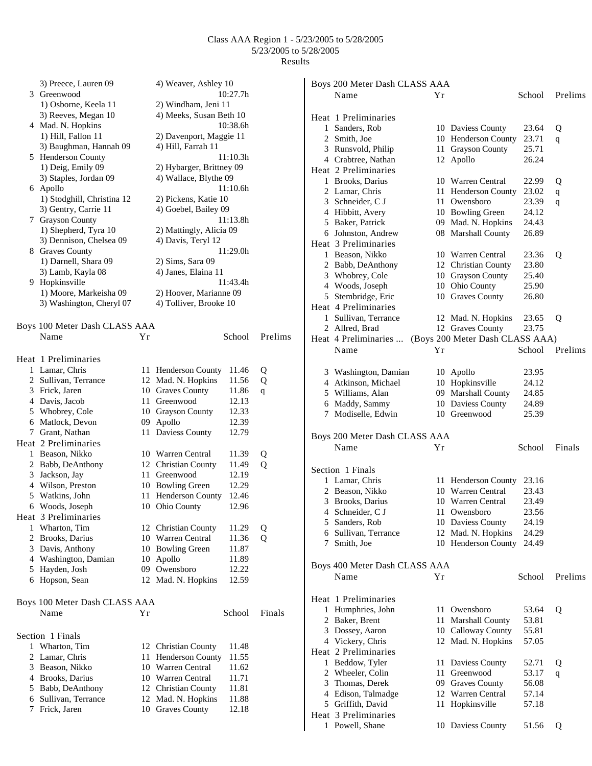| 3) Preece, Lauren 09          |    | 4) Weaver, Ashley 10      |          |         |   | Boys 200 Meter Dash CLASS AAA                         |    |                           |        |              |
|-------------------------------|----|---------------------------|----------|---------|---|-------------------------------------------------------|----|---------------------------|--------|--------------|
| 3 Greenwood                   |    |                           | 10:27.7h |         |   | Name                                                  | Yr |                           | School | Prelims      |
| 1) Osborne, Keela 11          |    | 2) Windham, Jeni 11       |          |         |   |                                                       |    |                           |        |              |
| 3) Reeves, Megan 10           |    | 4) Meeks, Susan Beth 10   |          |         |   | Heat 1 Preliminaries                                  |    |                           |        |              |
| 4 Mad. N. Hopkins             |    |                           | 10:38.6h |         |   | 1 Sanders, Rob                                        |    | 10 Daviess County         | 23.64  | Q            |
| 1) Hill, Fallon 11            |    | 2) Davenport, Maggie 11   |          |         |   |                                                       |    | 10 Henderson County       |        |              |
| 3) Baughman, Hannah 09        |    | 4) Hill, Farrah 11        |          |         |   | 2 Smith, Joe                                          |    |                           | 23.71  | $\mathbf{q}$ |
| 5 Henderson County            |    |                           | 11:10.3h |         | 3 | Runsvold, Philip                                      |    | 11 Grayson County         | 25.71  |              |
| 1) Deig, Emily 09             |    | 2) Hybarger, Brittney 09  |          |         |   | 4 Crabtree, Nathan                                    |    | 12 Apollo                 | 26.24  |              |
|                               |    | 4) Wallace, Blythe 09     |          |         |   | Heat 2 Preliminaries                                  |    |                           |        |              |
| 3) Staples, Jordan 09         |    |                           | 11:10.6h |         |   | 1 Brooks, Darius                                      |    | 10 Warren Central         | 22.99  | Q            |
| 6 Apollo                      |    |                           |          |         |   | 2 Lamar, Chris                                        |    | 11 Henderson County       | 23.02  | q            |
| 1) Stodghill, Christina 12    |    | 2) Pickens, Katie 10      |          |         | 3 | Schneider, C J                                        |    | 11 Owensboro              | 23.39  | $\mathbf q$  |
| 3) Gentry, Carrie 11          |    | 4) Goebel, Bailey 09      |          |         |   | 4 Hibbitt, Avery                                      |    | 10 Bowling Green          | 24.12  |              |
| 7 Grayson County              |    |                           | 11:13.8h |         | 5 | Baker, Patrick                                        |    | 09 Mad. N. Hopkins        | 24.43  |              |
| 1) Shepherd, Tyra 10          |    | 2) Mattingly, Alicia 09   |          |         |   | 6 Johnston, Andrew                                    |    | 08 Marshall County        | 26.89  |              |
| 3) Dennison, Chelsea 09       |    | 4) Davis, Teryl 12        |          |         |   | Heat 3 Preliminaries                                  |    |                           |        |              |
| 8 Graves County               |    |                           | 11:29.0h |         |   | 1 Beason, Nikko                                       |    | 10 Warren Central         | 23.36  | Q            |
| 1) Darnell, Shara 09          |    | 2) Sims, Sara 09          |          |         |   | 2 Babb, DeAnthony                                     |    | 12 Christian County       | 23.80  |              |
| 3) Lamb, Kayla 08             |    | 4) Janes, Elaina 11       |          |         |   | 3 Whobrey, Cole                                       |    | 10 Grayson County         | 25.40  |              |
| 9 Hopkinsville                |    |                           | 11:43.4h |         |   | 4 Woods, Joseph                                       |    | 10 Ohio County            | 25.90  |              |
| 1) Moore, Markeisha 09        |    | 2) Hoover, Marianne 09    |          |         |   | 5 Stembridge, Eric                                    |    | 10 Graves County          | 26.80  |              |
| 3) Washington, Cheryl 07      |    | 4) Tolliver, Brooke 10    |          |         |   | Heat 4 Preliminaries                                  |    |                           |        |              |
|                               |    |                           |          |         |   |                                                       |    |                           |        |              |
| Boys 100 Meter Dash CLASS AAA |    |                           |          |         |   | 1 Sullivan, Terrance                                  |    | 12 Mad. N. Hopkins        | 23.65  | Q            |
| Name                          | Υr |                           | School   | Prelims |   | 2 Allred, Brad                                        |    | 12 Graves County          | 23.75  |              |
|                               |    |                           |          |         |   | Heat 4 Preliminaries  (Boys 200 Meter Dash CLASS AAA) |    |                           |        |              |
|                               |    |                           |          |         |   | Name                                                  | Υr |                           | School | Prelims      |
| Heat 1 Preliminaries          |    |                           |          |         |   |                                                       |    |                           |        |              |
| 1 Lamar, Chris                |    | 11 Henderson County 11.46 |          | Q       |   | 3 Washington, Damian                                  |    | 10 Apollo                 | 23.95  |              |
| 2 Sullivan, Terrance          |    | 12 Mad. N. Hopkins        | 11.56    | Q       |   | 4 Atkinson, Michael                                   |    | 10 Hopkinsville           | 24.12  |              |
| 3 Frick, Jaren                |    | 10 Graves County          | 11.86    | q       |   | 5 Williams, Alan                                      |    | 09 Marshall County        | 24.85  |              |
| 4 Davis, Jacob                |    | 11 Greenwood              | 12.13    |         |   | 6 Maddy, Sammy                                        |    | 10 Daviess County         | 24.89  |              |
| 5 Whobrey, Cole               |    | 10 Grayson County         | 12.33    |         |   | 7 Modiselle, Edwin                                    |    | 10 Greenwood              | 25.39  |              |
| 6 Matlock, Devon              |    | 09 Apollo                 | 12.39    |         |   |                                                       |    |                           |        |              |
| 7 Grant, Nathan               |    | 11 Daviess County         | 12.79    |         |   | Boys 200 Meter Dash CLASS AAA                         |    |                           |        |              |
| Heat 2 Preliminaries          |    |                           |          |         |   | Name                                                  | Υr |                           | School | Finals       |
| 1 Beason, Nikko               |    | 10 Warren Central         | 11.39    | Q       |   |                                                       |    |                           |        |              |
| 2 Babb, DeAnthony             |    | 12 Christian County       | 11.49    | Q       |   |                                                       |    |                           |        |              |
| 3 Jackson, Jay                |    | 11 Greenwood              | 12.19    |         |   | Section 1 Finals                                      |    |                           |        |              |
| 4 Wilson, Preston             |    | 10 Bowling Green          | 12.29    |         |   | 1 Lamar, Chris                                        |    | 11 Henderson County 23.16 |        |              |
| 5 Watkins, John               |    | 11 Henderson County 12.46 |          |         |   | 2 Beason, Nikko                                       |    | 10 Warren Central         | 23.43  |              |
| 6 Woods, Joseph               |    | 10 Ohio County            | 12.96    |         |   | 3 Brooks, Darius                                      |    | 10 Warren Central         | 23.49  |              |
|                               |    |                           |          |         |   | 4 Schneider, C J                                      |    | 11 Owensboro              | 23.56  |              |
| Heat 3 Preliminaries          |    |                           |          |         |   | 5 Sanders, Rob                                        |    | 10 Daviess County         | 24.19  |              |
| 1 Wharton, Tim                |    | 12 Christian County       | 11.29    | Q       |   | 6 Sullivan, Terrance                                  |    | 12 Mad. N. Hopkins        | 24.29  |              |
| 2 Brooks, Darius              |    | 10 Warren Central         | 11.36    | Q       |   | 7 Smith, Joe                                          |    | 10 Henderson County       | 24.49  |              |
| 3 Davis, Anthony              |    | 10 Bowling Green          | 11.87    |         |   |                                                       |    |                           |        |              |
| 4 Washington, Damian          |    | 10 Apollo                 | 11.89    |         |   | Boys 400 Meter Dash CLASS AAA                         |    |                           |        |              |
| 5 Hayden, Josh                |    | 09 Owensboro              | 12.22    |         |   | Name                                                  | Υr |                           | School | Prelims      |
| 6 Hopson, Sean                |    | 12 Mad. N. Hopkins        | 12.59    |         |   |                                                       |    |                           |        |              |
|                               |    |                           |          |         |   |                                                       |    |                           |        |              |
| Boys 100 Meter Dash CLASS AAA |    |                           |          |         |   | Heat 1 Preliminaries                                  |    |                           |        |              |
| Name                          | Υr |                           | School   | Finals  |   | 1 Humphries, John                                     |    | 11 Owensboro              | 53.64  | Q            |
|                               |    |                           |          |         |   | 2 Baker, Brent                                        |    | 11 Marshall County        | 53.81  |              |
| Section 1 Finals              |    |                           |          |         |   | 3 Dossey, Aaron                                       |    | 10 Calloway County        | 55.81  |              |
| 1 Wharton, Tim                |    | 12 Christian County       | 11.48    |         |   | 4 Vickery, Chris                                      |    | 12 Mad. N. Hopkins        | 57.05  |              |
|                               |    |                           |          |         |   | Heat 2 Preliminaries                                  |    |                           |        |              |
| 2 Lamar, Chris                |    | 11 Henderson County       | 11.55    |         |   | 1 Beddow, Tyler                                       |    | 11 Daviess County         | 52.71  | Q            |
| 3 Beason, Nikko               |    | 10 Warren Central         | 11.62    |         |   | 2 Wheeler, Colin                                      |    | 11 Greenwood              | 53.17  | q            |
| 4 Brooks, Darius              |    | 10 Warren Central         | 11.71    |         | 3 | Thomas, Derek                                         |    | 09 Graves County          | 56.08  |              |
| 5 Babb, DeAnthony             |    | 12 Christian County       | 11.81    |         |   | 4 Edison, Talmadge                                    |    | 12 Warren Central         | 57.14  |              |
| 6 Sullivan, Terrance          | 12 | Mad. N. Hopkins           | 11.88    |         |   | 5 Griffith, David                                     |    | 11 Hopkinsville           | 57.18  |              |
| 7 Frick, Jaren                | 10 | <b>Graves County</b>      | 12.18    |         |   | Heat 3 Preliminaries                                  |    |                           |        |              |
|                               |    |                           |          |         |   | 1 Powell, Shane                                       |    | 10 Daviess County         | 51.56  | Q            |
|                               |    |                           |          |         |   |                                                       |    |                           |        |              |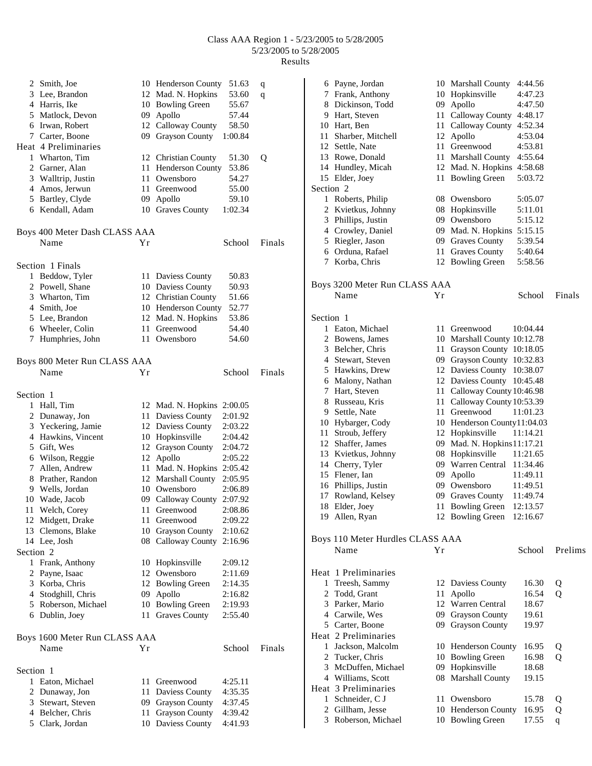|                      | 2 Smith, Joe                  |      | 10 Henderson County   | 51.63   | q      |
|----------------------|-------------------------------|------|-----------------------|---------|--------|
|                      | 3 Lee, Brandon                |      | 12 Mad. N. Hopkins    | 53.60   | q      |
|                      | 4 Harris, Ike                 |      | 10 Bowling Green      | 55.67   |        |
|                      | 5 Matlock, Devon              |      | 09 Apollo             | 57.44   |        |
|                      | 6 Irwan, Robert               |      | 12 Calloway County    | 58.50   |        |
|                      | 7 Carter, Boone               | 09   | Grayson County        | 1:00.84 |        |
|                      | Heat 4 Preliminaries          |      |                       |         |        |
|                      | 1 Wharton, Tim                |      | 12 Christian County   | 51.30   | Q      |
|                      | 2 Garner, Alan                |      | 11 Henderson County   | 53.86   |        |
|                      | 3 Walltrip, Justin            | 11 - | Owensboro             | 54.27   |        |
|                      | 4 Amos, Jerwun                | 11   | Greenwood             | 55.00   |        |
|                      | 5 Bartley, Clyde              |      | 09 Apollo             | 59.10   |        |
|                      | 6 Kendall, Adam               |      | 10 Graves County      | 1:02.34 |        |
|                      |                               |      |                       |         |        |
|                      | Boys 400 Meter Dash CLASS AAA |      |                       |         |        |
|                      | Name                          | Υr   |                       | School  | Finals |
|                      | Section 1 Finals              |      |                       |         |        |
| 1                    | Beddow, Tyler                 |      | 11 Daviess County     | 50.83   |        |
|                      | 2 Powell, Shane               |      | 10 Daviess County     | 50.93   |        |
|                      | 3 Wharton, Tim                |      | 12 Christian County   | 51.66   |        |
|                      | 4 Smith, Joe                  |      | 10 Henderson County   | 52.77   |        |
|                      | 5 Lee, Brandon                |      | 12 Mad. N. Hopkins    | 53.86   |        |
|                      | 6 Wheeler, Colin              | 11 - | Greenwood             | 54.40   |        |
| 7                    | Humphries, John               | 11   | Owensboro             | 54.60   |        |
|                      | Boys 800 Meter Run CLASS AAA  |      |                       |         |        |
|                      | Name                          | Υr   |                       | School  | Finals |
| Section 1            |                               |      |                       |         |        |
|                      | 1 Hall, Tim                   |      | 12 Mad. N. Hopkins    | 2:00.05 |        |
|                      | 2 Dunaway, Jon                |      | 11 Daviess County     | 2:01.92 |        |
|                      | 3 Yeckering, Jamie            |      | 12 Daviess County     | 2:03.22 |        |
|                      | 4 Hawkins, Vincent            |      | 10 Hopkinsville       | 2:04.42 |        |
|                      | 5 Gift, Wes                   |      | 12 Grayson County     | 2:04.72 |        |
|                      | 6 Wilson, Reggie              | 12   | Apollo                | 2:05.22 |        |
|                      | 7 Allen, Andrew               | 11   | Mad. N. Hopkins       | 2:05.42 |        |
|                      | 8 Prather, Randon             |      | 12 Marshall County    | 2:05.95 |        |
|                      | 9 Wells, Jordan               |      | 10 Owensboro          | 2:06.89 |        |
|                      | 10 Wade, Jacob                |      | 09 Calloway County    | 2:07.92 |        |
|                      | 11 Welch, Corev               |      | 11 Greenwood          | 2:08.86 |        |
|                      | 12 Midgett, Drake             | 11   | Greenwood             | 2:09.22 |        |
|                      | 13 Clemons, Blake             | 10   | <b>Grayson County</b> | 2:10.62 |        |
|                      | 14 Lee, Josh                  | 08   | Calloway County       | 2:16.96 |        |
| Section <sub>2</sub> |                               |      |                       |         |        |
|                      |                               |      |                       |         |        |
| 1                    | Frank, Anthony                | 10   | Hopkinsville          | 2:09.12 |        |
| 2                    | Payne, Isaac                  | 12   | Owensboro             | 2:11.69 |        |
|                      | 3 Korba, Chris                |      | 12 Bowling Green      | 2:14.35 |        |
|                      | 4 Stodghill, Chris            | 09   | Apollo                | 2:16.82 |        |
|                      | 5 Roberson, Michael           |      | 10 Bowling Green      | 2:19.93 |        |
|                      | 6 Dublin, Joey                | 11   | <b>Graves County</b>  | 2:55.40 |        |
|                      | Boys 1600 Meter Run CLASS AAA |      |                       |         |        |
|                      | Name                          | Υr   |                       | School  | Finals |
| Section 1            |                               |      |                       |         |        |
| 1                    | Eaton, Michael                | 11   | Greenwood             | 4:25.11 |        |
| 2                    | Dunaway, Jon                  | 11   | Daviess County        | 4:35.35 |        |
|                      | 3 Stewart, Steven             | 09   | <b>Grayson County</b> | 4:37.45 |        |
|                      | 4 Belcher, Chris              | 11   | <b>Grayson County</b> | 4:39.42 |        |
|                      | 5 Clark, Jordan               |      | 10 Daviess County     | 4:41.93 |        |

|              | 6 Payne, Jordan<br>7 Frank, Anthony |     | 10 Marshall County<br>10 Hopkinsville | 4:44.56<br>4:47.23 |              |
|--------------|-------------------------------------|-----|---------------------------------------|--------------------|--------------|
|              | 8 Dickinson, Todd                   |     | 09 Apollo                             | 4:47.50            |              |
|              | 9 Hart, Steven                      |     | 11 Calloway County 4:48.17            |                    |              |
|              | 10 Hart, Ben                        | 11  | Calloway County 4:52.34               |                    |              |
|              | 11 Sharber, Mitchell                | 12  | Apollo                                | 4:53.04            |              |
|              | 12 Settle, Nate                     |     | 11 Greenwood                          | 4:53.81            |              |
|              | 13 Rowe, Donald                     |     | 11 Marshall County                    | 4:55.64            |              |
|              | 14 Hundley, Micah                   |     | 12 Mad. N. Hopkins 4:58.68            |                    |              |
|              | 15 Elder, Joey                      |     | 11 Bowling Green                      | 5:03.72            |              |
| Section 2    |                                     |     |                                       |                    |              |
|              | 1 Roberts, Philip                   |     | 08 Owensboro                          | 5:05.07            |              |
|              | 2 Kvietkus, Johnny                  |     | 08 Hopkinsville                       | 5:11.01            |              |
|              | 3 Phillips, Justin                  |     | 09 Owensboro                          | 5:15.12            |              |
|              | 4 Crowley, Daniel                   |     | 09 Mad. N. Hopkins 5:15.15            |                    |              |
|              | 5 Riegler, Jason                    |     | 09 Graves County                      | 5:39.54            |              |
|              | 6 Orduna, Rafael                    |     | 11 Graves County                      | 5:40.64            |              |
| 7            | Korba, Chris                        |     | 12 Bowling Green                      | 5:58.56            |              |
|              |                                     |     |                                       |                    |              |
|              | Boys 3200 Meter Run CLASS AAA       |     |                                       |                    |              |
|              | Name                                | Yr  |                                       | School             | Finals       |
|              |                                     |     |                                       |                    |              |
| Section 1    |                                     |     |                                       |                    |              |
|              | 1 Eaton, Michael                    | 11  | Greenwood                             | 10:04.44           |              |
|              | 2 Bowens, James                     |     | 10 Marshall County 10:12.78           |                    |              |
|              | 3 Belcher, Chris                    |     | 11 Grayson County 10:18.05            |                    |              |
|              | 4 Stewart, Steven                   |     | 09 Grayson County 10:32.83            |                    |              |
|              | 5 Hawkins, Drew                     |     | 12 Daviess County                     | 10:38.07           |              |
|              | 6 Malony, Nathan                    |     | 12 Daviess County                     | 10:45.48           |              |
|              | 7 Hart, Steven                      |     | 11 Calloway County 10:46.98           |                    |              |
|              | 8 Russeau, Kris                     |     | 11 Calloway County 10:53.39           |                    |              |
|              | 9 Settle, Nate                      |     | 11 Greenwood                          | 11:01.23           |              |
|              | 10 Hybarger, Cody                   |     | 10 Henderson County11:04.03           |                    |              |
| 11           | Stroub, Jeffery                     |     | 12 Hopkinsville                       | 11:14.21           |              |
|              | 12 Shaffer, James                   |     | 09 Mad. N. Hopkins 11:17.21           |                    |              |
|              | 13 Kvietkus, Johnny                 |     | 08 Hopkinsville                       | 11:21.65           |              |
|              | 14 Cherry, Tyler                    |     | 09 Warren Central 11:34.46            |                    |              |
|              | 15 Flener, Ian                      |     | 09 Apollo                             | 11:49.11           |              |
|              | 16 Phillips, Justin                 |     | 09 Owensboro                          | 11:49.51           |              |
|              | 17 Rowland, Kelsey                  |     | 09 Graves County                      | 11:49.74           |              |
| 18           | Elder, Joey                         | 11  | <b>Bowling Green</b>                  | 12:13.57           |              |
|              | 19 Allen, Ryan                      |     | 12 Bowling Green                      | 12:16.67           |              |
|              | Boys 110 Meter Hurdles CLASS AAA    |     |                                       |                    |              |
|              | Name                                | Υr  |                                       | School             | Prelims      |
|              |                                     |     |                                       |                    |              |
|              | Heat 1 Preliminaries                |     |                                       |                    |              |
| 1            | Treesh, Sammy                       | 12  | Daviess County                        | 16.30              | Q            |
|              | 2 Todd, Grant                       | 11  | Apollo                                | 16.54              | О            |
|              | 3 Parker, Mario                     |     | 12 Warren Central                     | 18.67              |              |
|              | 4 Carwile, Wes                      |     | 09 Grayson County                     | 19.61              |              |
|              | 5 Carter, Boone                     | 09  | <b>Grayson County</b>                 | 19.97              |              |
|              | Heat 2 Preliminaries                |     |                                       |                    |              |
| $\mathbf{1}$ | Jackson, Malcolm                    |     | 10 Henderson County                   | 16.95              | Q            |
|              | 2 Tucker, Chris                     |     | 10 Bowling Green                      | 16.98              | $\mathbf{O}$ |
|              | 3 McDuffen, Michael                 |     | 09 Hopkinsville                       | 18.68              |              |
|              | 4 Williams, Scott                   |     | 08 Marshall County                    | 19.15              |              |
|              | Heat 3 Preliminaries                |     |                                       |                    |              |
| 1            | Schneider, C J                      | 11- | Owensboro                             | 15.78              | Q            |
|              | 2 Gillham, Jesse                    |     | 10 Henderson County                   | 16.95              | Q            |
| 3            | Roberson, Michael                   |     | 10 Bowling Green                      | 17.55              | q            |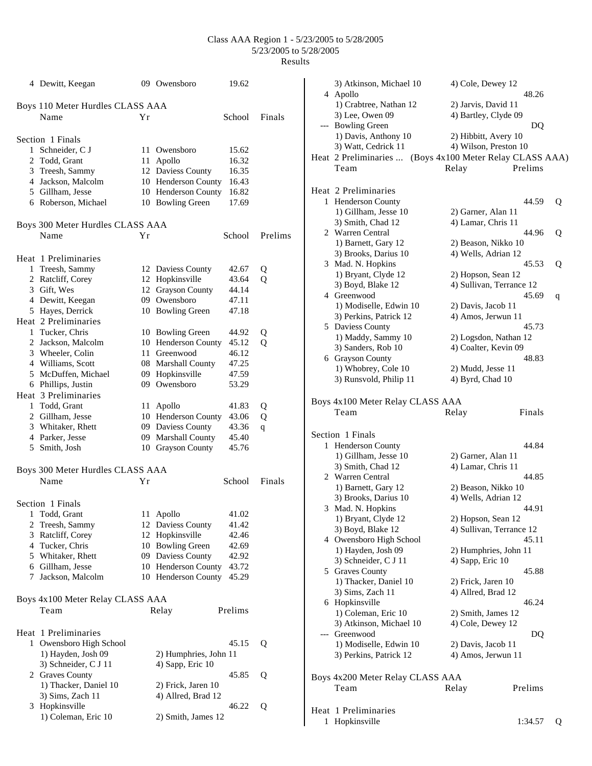|   | 4 Dewitt, Keegan                 |    | 09 Owensboro                            | 19.62   |         |
|---|----------------------------------|----|-----------------------------------------|---------|---------|
|   | Boys 110 Meter Hurdles CLASS AAA |    |                                         |         |         |
|   | Name                             | Υr |                                         | School  | Finals  |
|   | Section 1 Finals                 |    |                                         |         |         |
|   | 1 Schneider, C J                 | 11 | Owensboro                               | 15.62   |         |
|   | 2 Todd, Grant                    | 11 | Apollo                                  | 16.32   |         |
|   | 3 Treesh, Sammy                  |    | 12 Daviess County                       | 16.35   |         |
|   | 4 Jackson, Malcolm               |    | 10 Henderson County                     | 16.43   |         |
|   | 5 Gillham, Jesse                 |    |                                         | 16.82   |         |
|   | 6 Roberson, Michael              |    | 10 Henderson County<br>10 Bowling Green | 17.69   |         |
|   |                                  |    |                                         |         |         |
|   | Boys 300 Meter Hurdles CLASS AAA |    |                                         |         | Prelims |
|   | Name                             | Υr |                                         | School  |         |
|   | Heat 1 Preliminaries             |    |                                         |         |         |
|   | 1 Treesh, Sammy                  |    | 12 Daviess County                       | 42.67   | Q       |
|   | 2 Ratcliff, Corey                |    | 12 Hopkinsville                         | 43.64   | Q       |
|   | 3 Gift, Wes                      |    | 12 Grayson County                       | 44.14   |         |
|   | 4 Dewitt, Keegan                 |    | 09 Owensboro                            | 47.11   |         |
|   | 5 Hayes, Derrick                 |    | 10 Bowling Green                        | 47.18   |         |
|   | Heat 2 Preliminaries             |    |                                         |         |         |
|   | 1 Tucker, Chris                  |    | 10 Bowling Green                        | 44.92   | Q       |
|   | 2 Jackson, Malcolm               |    | 10 Henderson County                     | 45.12   | Q       |
|   | 3 Wheeler, Colin                 |    | 11 Greenwood                            | 46.12   |         |
|   | 4 Williams, Scott                |    | 08 Marshall County                      | 47.25   |         |
|   | 5 McDuffen, Michael              |    | 09 Hopkinsville                         | 47.59   |         |
|   | 6 Phillips, Justin               |    | 09 Owensboro                            | 53.29   |         |
|   | Heat 3 Preliminaries             |    |                                         |         |         |
|   | 1 Todd, Grant                    |    | 11 Apollo                               | 41.83   | Q       |
|   | 2 Gillham, Jesse                 |    | 10 Henderson County                     | 43.06   | Q       |
|   | 3 Whitaker, Rhett                |    |                                         | 43.36   |         |
|   |                                  |    | 09 Daviess County                       | 45.40   | q       |
|   | 4 Parker, Jesse                  |    | 09 Marshall County                      |         |         |
|   | 5 Smith, Josh                    |    | 10 Grayson County                       | 45.76   |         |
|   | Boys 300 Meter Hurdles CLASS AAA |    |                                         |         |         |
|   | Name                             | Υr |                                         | School  | Finals  |
|   | Section 1 Finals                 |    |                                         |         |         |
| 1 | Todd, Grant                      | 11 | Apollo                                  | 41.02   |         |
|   | 2 Treesh, Sammy                  |    | 12 Daviess County                       | 41.42   |         |
|   | 3 Ratcliff, Corey                |    | 12 Hopkinsville                         | 42.46   |         |
|   | 4 Tucker, Chris                  |    | 10 Bowling Green                        | 42.69   |         |
|   | 5 Whitaker, Rhett                |    | 09 Daviess County                       | 42.92   |         |
|   | 6 Gillham, Jesse                 |    | 10 Henderson County                     | 43.72   |         |
|   | 7 Jackson, Malcolm               |    | 10 Henderson County                     | 45.29   |         |
|   | Boys 4x100 Meter Relay CLASS AAA |    |                                         |         |         |
|   | Team                             |    |                                         | Prelims |         |
|   |                                  |    | Relay                                   |         |         |
|   | Heat 1 Preliminaries             |    |                                         |         |         |
|   | 1 Owensboro High School          |    |                                         | 45.15   | Q       |
|   | 1) Hayden, Josh 09               |    | 2) Humphries, John 11                   |         |         |
|   | 3) Schneider, C J 11             |    | 4) Sapp, Eric 10                        |         |         |
|   | 2 Graves County                  |    |                                         | 45.85   | 0       |
|   | 1) Thacker, Daniel 10            |    | 2) Frick, Jaren 10                      |         |         |
|   | 3) Sims, Zach 11                 |    | 4) Allred, Brad 12                      |         |         |
|   | 3 Hopkinsville                   |    |                                         | 46.22   | Q       |
|   | 1) Coleman, Eric 10              |    | 2) Smith, James 12                      |         |         |

|      | 3) Atkinson, Michael 10                                  | 4) Cole, Dewey 12        |            |  |  |
|------|----------------------------------------------------------|--------------------------|------------|--|--|
|      | 4 Apollo                                                 |                          | 48.26      |  |  |
|      | 1) Crabtree, Nathan 12                                   | 2) Jarvis, David 11      |            |  |  |
|      | 3) Lee, Owen 09                                          | 4) Bartley, Clyde 09     |            |  |  |
|      | --- Bowling Green                                        |                          | DQ         |  |  |
|      | 1) Davis, Anthony 10                                     | 2) Hibbitt, Avery 10     |            |  |  |
|      | 3) Watt, Cedrick 11                                      | 4) Wilson, Preston 10    |            |  |  |
|      | Heat 2 Preliminaries  (Boys 4x100 Meter Relay CLASS AAA) |                          |            |  |  |
|      | Team                                                     | Prelims<br>Relay         |            |  |  |
|      |                                                          |                          |            |  |  |
|      | Heat 2 Preliminaries                                     |                          |            |  |  |
|      | 1 Henderson County                                       |                          | 44.59<br>Q |  |  |
|      | 1) Gillham, Jesse 10                                     | 2) Garner, Alan 11       |            |  |  |
|      | 3) Smith, Chad 12                                        | 4) Lamar, Chris 11       |            |  |  |
|      | 2 Warren Central                                         |                          | 44.96<br>Q |  |  |
|      | 1) Barnett, Gary 12                                      | 2) Beason, Nikko 10      |            |  |  |
|      | 3) Brooks, Darius 10                                     | 4) Wells, Adrian 12      |            |  |  |
|      | 3 Mad. N. Hopkins                                        |                          | 45.53<br>Q |  |  |
|      | 1) Bryant, Clyde 12                                      | 2) Hopson, Sean 12       |            |  |  |
|      | 3) Boyd, Blake 12                                        | 4) Sullivan, Terrance 12 |            |  |  |
|      | 4 Greenwood                                              |                          | 45.69      |  |  |
|      | 1) Modiselle, Edwin 10                                   | 2) Davis, Jacob 11       | q          |  |  |
|      | 3) Perkins, Patrick 12                                   | 4) Amos, Jerwun 11       |            |  |  |
|      | 5 Daviess County                                         |                          | 45.73      |  |  |
|      | 1) Maddy, Sammy 10                                       | 2) Logsdon, Nathan 12    |            |  |  |
|      | 3) Sanders, Rob 10                                       | 4) Coalter, Kevin 09     |            |  |  |
|      | 6 Grayson County                                         |                          | 48.83      |  |  |
|      |                                                          |                          |            |  |  |
|      | 1) Whobrey, Cole 10                                      | 2) Mudd, Jesse 11        |            |  |  |
|      | 3) Runsvold, Philip 11                                   | 4) Byrd, Chad 10         |            |  |  |
|      |                                                          |                          |            |  |  |
|      | Boys 4x100 Meter Relay CLASS AAA                         |                          |            |  |  |
|      | Team                                                     | Finals<br>Relay          |            |  |  |
|      |                                                          |                          |            |  |  |
|      | Section 1 Finals                                         |                          |            |  |  |
| 1    | <b>Henderson County</b>                                  |                          | 44.84      |  |  |
|      | 1) Gillham, Jesse 10                                     | 2) Garner, Alan 11       |            |  |  |
|      | 3) Smith, Chad 12                                        | 4) Lamar, Chris 11       |            |  |  |
|      | 2 Warren Central                                         |                          | 44.85      |  |  |
|      | 1) Barnett, Gary 12                                      | 2) Beason, Nikko 10      |            |  |  |
|      | 3) Brooks, Darius 10                                     | 4) Wells, Adrian 12      |            |  |  |
| 3    | Mad. N. Hopkins                                          | 44.91                    |            |  |  |
|      | 1) Bryant, Clyde 12                                      | 2) Hopson, Sean 12       |            |  |  |
|      | 3) Boyd, Blake 12                                        | 4) Sullivan, Terrance 12 |            |  |  |
|      | 4 Owensboro High School                                  | 45.11                    |            |  |  |
|      | 1) Hayden, Josh 09                                       | 2) Humphries, John 11    |            |  |  |
|      | 3) Schneider, C J 11                                     | 4) Sapp, Eric 10         |            |  |  |
|      | 5 Graves County                                          |                          | 45.88      |  |  |
|      | 1) Thacker, Daniel 10                                    | 2) Frick, Jaren 10       |            |  |  |
|      | 3) Sims, Zach 11                                         | 4) Allred, Brad 12       |            |  |  |
|      | 6 Hopkinsville                                           |                          | 46.24      |  |  |
|      | 1) Coleman, Eric 10                                      | 2) Smith, James 12       |            |  |  |
|      | 3) Atkinson, Michael 10                                  | 4) Cole, Dewey 12        |            |  |  |
|      | --- Greenwood                                            |                          | DQ         |  |  |
|      | 1) Modiselle, Edwin 10                                   | 2) Davis, Jacob 11       |            |  |  |
|      | 3) Perkins, Patrick 12                                   | 4) Amos, Jerwun 11       |            |  |  |
|      |                                                          |                          |            |  |  |
|      | Boys 4x200 Meter Relay CLASS AAA                         |                          |            |  |  |
|      | Team                                                     | Prelims<br>Relay         |            |  |  |
|      |                                                          |                          |            |  |  |
| Heat | 1 Preliminaries                                          |                          |            |  |  |
| 1    | Hopkinsville                                             | 1:34.57                  | Q          |  |  |
|      |                                                          |                          |            |  |  |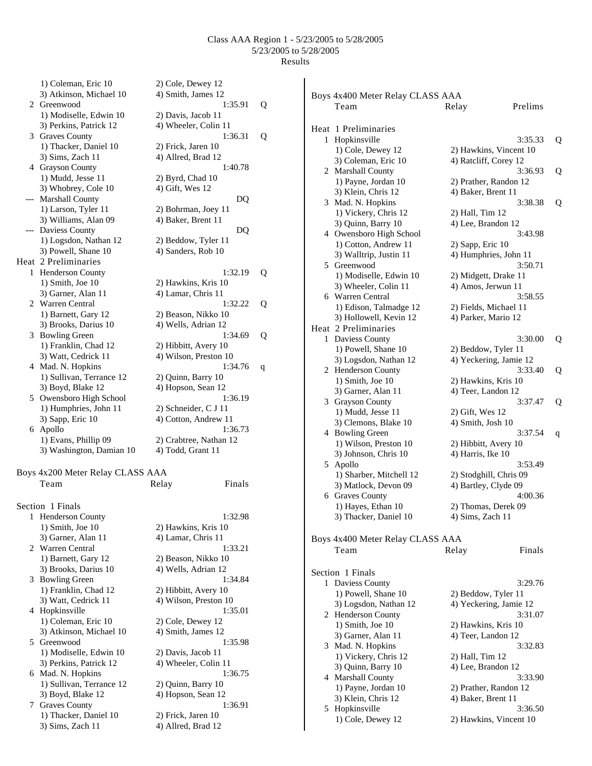Boys 4x400 Meter Relay CLASS AAA

Team Relay Prelims

1) Coleman, Eric 10 2) Cole, Dewey 12 3) Atkinson, Michael 10 4) Smith, James 12 2 Greenwood 1:35.91 Q 1) Modiselle, Edwin 10 2) Davis, Jacob 11 3) Perkins, Patrick 12 4) Wheeler, Colin 11 3 Graves County 1:36.31 Q 1) Thacker, Daniel 10 2) Frick, Jaren 10 3) Sims, Zach 11 4) Allred, Brad 12 4 Grayson County 1:40.78 1) Mudd, Jesse 11 3) Whobrey, Cole 10 --- Marshall County 1) Larson, Tyler 11 3) Williams, Alan 09 --- Daviess County 1) Logsdon, Nathan 12 3) Powell, Shane 10 Heat 2 Preliminaries 1 Henderson County 1:32.19 Q 1) Smith, Joe  $10$ 3) Garner, Alan 11 2 Warren Central 1:32.22 Q 1) Barnett, Gary 12 3) Brooks, Darius 10 3 Bowling Green 1:34.69 Q 1) Franklin, Chad 12 3) Watt, Cedrick 11 4 Mad. N. Hopkins 1:34.76 q 1) Sullivan, Terrance 12 3) Boyd, Blake 12 5 Owensboro High School 1) Humphries, John 11 3) Sapp, Eric 10 6 Apollo 1) Evans, Phillip 09 3) Washington, Damian 10 Boys 4x200 Meter Relay CLASS A Team Relay Finals Section 1 Finals 1 Henderson County 1) Smith, Joe  $10$ 3) Garner, Alan 11 2 Warren Central 1) Barnett, Gary 12 3) Brooks, Darius 10 3 Bowling Green 1) Franklin, Chad 12 3) Watt, Cedrick 11 4 Hopkinsville 1) Coleman, Eric 10 3) Atkinson, Michael 10 5 Greenwood 1) Modiselle, Edwin 10 3) Perkins, Patrick 12 4) Wheeler, Colin 11 6 Mad. N. Hopkins 1:36.75

1) Sullivan, Terrance 12 2) Quinn, Barry 10 3) Boyd, Blake 12 4) Hopson, Sean 12 7 Graves County 1:36.91 1) Thacker, Daniel 10 2) Frick, Jaren 10 3) Sims, Zach 11 4) Allred, Brad 12

| $\overline{\mathbf{C}}$  |
|--------------------------|
|                          |
|                          |
| (                        |
|                          |
|                          |
| $\overline{\phantom{a}}$ |
|                          |
|                          |
|                          |
| $\overline{a}$           |
|                          |
|                          |
|                          |
|                          |
|                          |
|                          |
|                          |
|                          |
|                          |
|                          |
|                          |
|                          |
|                          |
|                          |
|                          |
|                          |
|                          |
|                          |
|                          |
|                          |
|                          |
|                          |
|                          |
|                          |
|                          |
|                          |
|                          |
|                          |
|                          |
|                          |

|    | Heat 1 Preliminaries                  |                                               |   |
|----|---------------------------------------|-----------------------------------------------|---|
| 1  | Hopkinsville                          | 3:35.33                                       | Q |
|    | 1) Cole, Dewey 12                     | 2) Hawkins, Vincent 10                        |   |
|    | 3) Coleman, Eric 10                   | 4) Ratcliff, Corey 12                         |   |
|    | 2 Marshall County                     | 3:36.93                                       | Q |
|    | 1) Payne, Jordan 10                   | 2) Prather, Randon 12                         |   |
|    | 3) Klein, Chris 12                    | 4) Baker, Brent 11                            |   |
| 3  | Mad. N. Hopkins                       | 3:38.38                                       | Q |
|    | 1) Vickery, Chris 12                  | 2) Hall, Tim 12                               |   |
|    | 3) Quinn, Barry 10                    | 4) Lee, Brandon 12                            |   |
| 4  | Owensboro High School                 | 3:43.98                                       |   |
|    | 1) Cotton, Andrew 11                  | 2) Sapp, Eric 10                              |   |
|    | 3) Walltrip, Justin 11                | 4) Humphries, John 11                         |   |
| 5. | Greenwood                             | 3:50.71                                       |   |
|    | 1) Modiselle, Edwin 10                | 2) Midgett, Drake 11                          |   |
|    | 3) Wheeler, Colin 11                  | 4) Amos, Jerwun 11                            |   |
|    | 6 Warren Central                      | 3:58.55                                       |   |
|    | 1) Edison, Talmadge 12                | 2) Fields, Michael 11                         |   |
|    | 3) Hollowell, Kevin 12                | 4) Parker, Mario 12                           |   |
|    | Heat 2 Preliminaries                  |                                               |   |
| 1  | Daviess County                        | 3:30.00                                       | Q |
|    | 1) Powell, Shane 10                   | 2) Beddow, Tyler 11                           |   |
|    | 3) Logsdon, Nathan 12                 | 4) Yeckering, Jamie 12                        |   |
| 2  | Henderson County                      | 3:33.40                                       | Q |
|    | 1) Smith, Joe 10                      | 2) Hawkins, Kris 10                           |   |
|    | 3) Garner, Alan 11                    | 4) Teer, Landon 12                            |   |
|    | 3 Grayson County                      | 3:37.47                                       | Q |
|    | 1) Mudd, Jesse 11                     | 2) Gift, Wes 12                               |   |
|    | 3) Clemons, Blake 10                  | 4) Smith, Josh 10                             |   |
|    | 4 Bowling Green                       | 3:37.54                                       | q |
|    | 1) Wilson, Preston 10                 | 2) Hibbitt, Avery 10                          |   |
|    | 3) Johnson, Chris 10                  | 4) Harris, Ike 10                             |   |
| 5  | Apollo                                | 3:53.49                                       |   |
|    | 1) Sharber, Mitchell 12               | 2) Stodghill, Chris 09                        |   |
|    | 3) Matlock, Devon 09                  | 4) Bartley, Clyde 09                          |   |
|    | 6 Graves County                       | 4:00.36                                       |   |
|    | 1) Hayes, Ethan 10                    | 2) Thomas, Derek 09                           |   |
|    | 3) Thacker, Daniel 10                 | 4) Sims, Zach 11                              |   |
|    | Boys 4x400 Meter Relay CLASS AAA      |                                               |   |
|    |                                       | Finals                                        |   |
|    | Team                                  | Relay                                         |   |
|    | Section 1 Finals                      |                                               |   |
| 1  |                                       | 3:29.76                                       |   |
|    | Daviess County<br>1) Powell, Shane 10 |                                               |   |
|    | 3) Logsdon, Nathan 12                 | 2) Beddow, Tyler 11<br>4) Yeckering, Jamie 12 |   |
|    | 2 Henderson County                    | 3:31.07                                       |   |
|    | 1) Smith, Joe 10                      | 2) Hawkins, Kris 10                           |   |
|    | 3) Garner, Alan 11                    | 4) Teer, Landon 12                            |   |
| 3  | Mad. N. Hopkins                       | 3:32.83                                       |   |
|    | 1) Vickery, Chris 12                  | 2) Hall, Tim 12                               |   |
|    | 3) Quinn, Barry 10                    | 4) Lee, Brandon 12                            |   |
| 4  | Marshall County                       | 3:33.90                                       |   |
|    | 1) Payne, Jordan 10                   | 2) Prather, Randon 12                         |   |
|    | 3) Klein, Chris 12                    | 4) Baker, Brent 11                            |   |
| 5  | Hopkinsville                          | 3:36.50                                       |   |
|    |                                       |                                               |   |

1) Cole, Dewey 12 2) Hawkins, Vincent 10